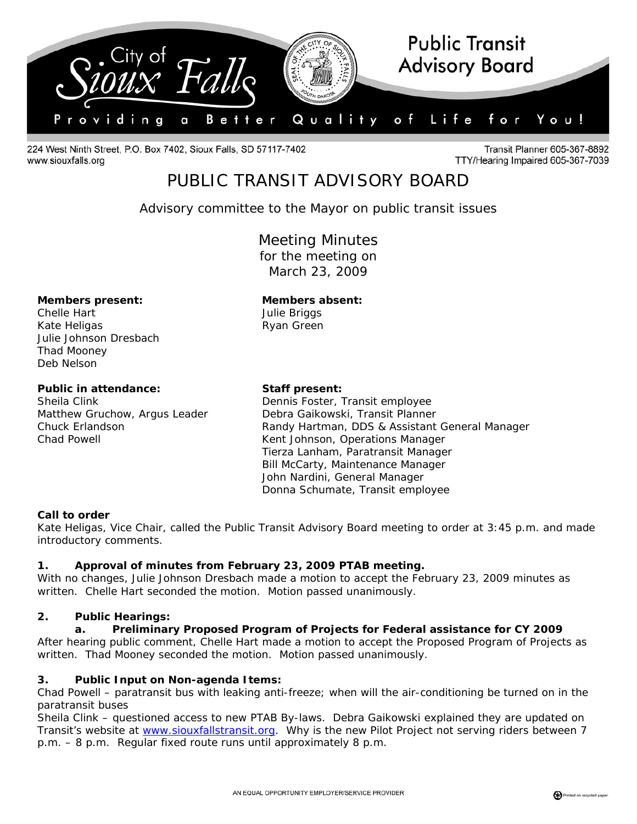

224 West Ninth Street, P.O. Box 7402, Sioux Falls, SD 57117-7402 www.siouxfalls.org

**Transit Planner 605-367-8892** TTY/Hearing Impaired 605-367-7039

# PUBLIC TRANSIT ADVISORY BOARD

*Advisory committee to the Mayor on public transit issues* 

Meeting Minutes for the meeting on March 23, 2009

#### **Members present: Members absent:**

Chelle Hart **Chelle Hart Julie Briggs** Kate Heligas **Ryan Green** Julie Johnson Dresbach Thad Mooney Deb Nelson

### Public in attendance: Staff present:

Sheila Clink **Dennis Foster, Transit employee** Matthew Gruchow, Argus Leader Debra Gaikowski, Transit Planner Chuck Erlandson Randy Hartman, DDS & Assistant General Manager Chad Powell **Chad Powell** Chad Powell **Kent Johnson, Operations Manager** Tierza Lanham, Paratransit Manager Bill McCarty, Maintenance Manager John Nardini, General Manager Donna Schumate, Transit employee

#### **Call to order**

Kate Heligas, Vice Chair, called the Public Transit Advisory Board meeting to order at 3:45 p.m. and made introductory comments.

#### **1. Approval of minutes from February 23, 2009 PTAB meeting.**

With no changes, Julie Johnson Dresbach made a motion to accept the February 23, 2009 minutes as written. Chelle Hart seconded the motion. Motion passed unanimously.

#### **2. Public Hearings:**

#### **a. Preliminary Proposed Program of Projects for Federal assistance for CY 2009**

After hearing public comment, Chelle Hart made a motion to accept the Proposed Program of Projects as written. Thad Mooney seconded the motion. Motion passed unanimously.

#### **3. Public Input on Non-agenda Items:**

Chad Powell – paratransit bus with leaking anti-freeze; when will the air-conditioning be turned on in the paratransit buses

Sheila Clink – questioned access to new PTAB By-laws. Debra Gaikowski explained they are updated on Transit's website at [www.siouxfallstransit.org.](http://www.siouxfallstransit.org/) Why is the new Pilot Project not serving riders between 7 p.m. – 8 p.m. Regular fixed route runs until approximately 8 p.m.